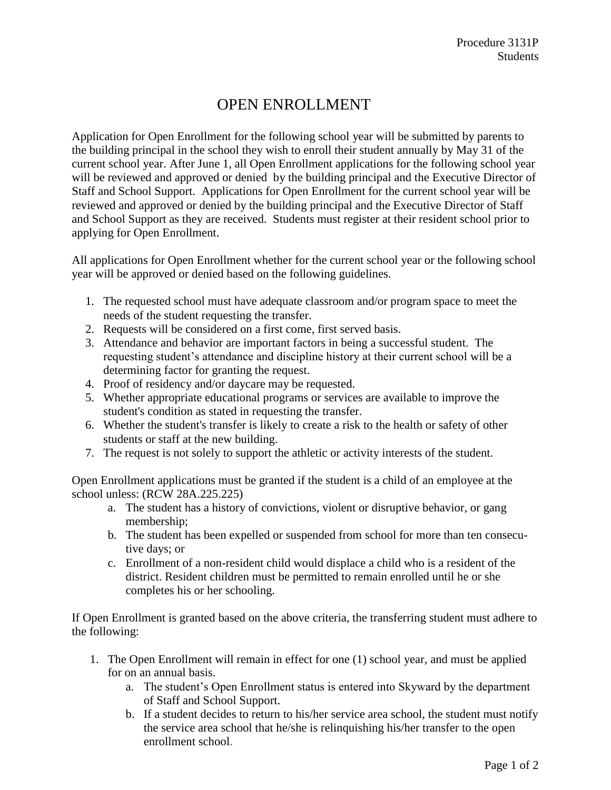## OPEN ENROLLMENT

Application for Open Enrollment for the following school year will be submitted by parents to the building principal in the school they wish to enroll their student annually by May 31 of the current school year. After June 1, all Open Enrollment applications for the following school year will be reviewed and approved or denied by the building principal and the Executive Director of Staff and School Support. Applications for Open Enrollment for the current school year will be reviewed and approved or denied by the building principal and the Executive Director of Staff and School Support as they are received. Students must register at their resident school prior to applying for Open Enrollment.

All applications for Open Enrollment whether for the current school year or the following school year will be approved or denied based on the following guidelines.

- 1. The requested school must have adequate classroom and/or program space to meet the needs of the student requesting the transfer.
- 2. Requests will be considered on a first come, first served basis.
- 3. Attendance and behavior are important factors in being a successful student. The requesting student's attendance and discipline history at their current school will be a determining factor for granting the request.
- 4. Proof of residency and/or daycare may be requested.
- 5. Whether appropriate educational programs or services are available to improve the student's condition as stated in requesting the transfer.
- 6. Whether the student's transfer is likely to create a risk to the health or safety of other students or staff at the new building.
- 7. The request is not solely to support the athletic or activity interests of the student.

Open Enrollment applications must be granted if the student is a child of an employee at the school unless: (RCW 28A.225.225)

- a. The student has a history of convictions, violent or disruptive behavior, or gang membership;
- b. The student has been expelled or suspended from school for more than ten consecutive days; or
- c. Enrollment of a non-resident child would displace a child who is a resident of the district. Resident children must be permitted to remain enrolled until he or she completes his or her schooling.

If Open Enrollment is granted based on the above criteria, the transferring student must adhere to the following:

- 1. The Open Enrollment will remain in effect for one (1) school year, and must be applied for on an annual basis.
	- a. The student's Open Enrollment status is entered into Skyward by the department of Staff and School Support.
	- b. If a student decides to return to his/her service area school, the student must notify the service area school that he/she is relinquishing his/her transfer to the open enrollment school.